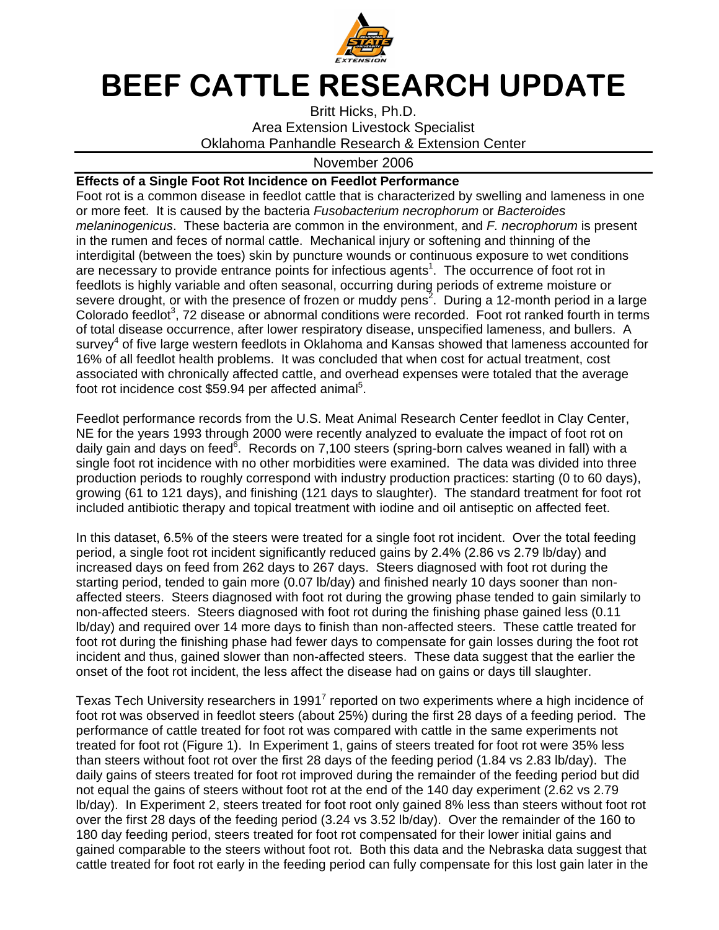

## BEEF CATTLE RESEARCH UPDATE

Britt Hicks, Ph.D. Area Extension Livestock Specialist Oklahoma Panhandle Research & Extension Center

## November 2006

## **Effects of a Single Foot Rot Incidence on Feedlot Performance**

Foot rot is a common disease in feedlot cattle that is characterized by swelling and lameness in one or more feet. It is caused by the bacteria Fusobacterium necrophorum or Bacteroides melaninogenicus. These bacteria are common in the environment, and F. necrophorum is present in the rumen and feces of normal cattle. Mechanical injury or softening and thinning of the interdigital (between the toes) skin by puncture wounds or continuous exposure to wet conditions are necessary to provide entrance points for infectious agents<sup>1</sup>. The occurrence of foot rot in feedlots is highly variable and often seasonal, occurring during periods of extreme moisture or severe drought, or with the presence of frozen or muddy pens<sup>2</sup>. During a 12-month period in a large Colorado feedlot<sup>3</sup>, 72 disease or abnormal conditions were recorded. Foot rot ranked fourth in terms of total disease occurrence, after lower respiratory disease, unspecified lameness, and bullers. A survey<sup>4</sup> of five large western feedlots in Oklahoma and Kansas showed that lameness accounted for 16% of all feedlot health problems. It was concluded that when cost for actual treatment, cost associated with chronically affected cattle, and overhead expenses were totaled that the average foot rot incidence cost \$59.94 per affected animal<sup>5</sup>.

Feedlot performance records from the U.S. Meat Animal Research Center feedlot in Clay Center, NE for the years 1993 through 2000 were recently analyzed to evaluate the impact of foot rot on daily gain and days on feed<sup>6</sup>. Records on 7,100 steers (spring-born calves weaned in fall) with a single foot rot incidence with no other morbidities were examined. The data was divided into three production periods to roughly correspond with industry production practices: starting (0 to 60 days), growing (61 to 121 days), and finishing (121 days to slaughter). The standard treatment for foot rot included antibiotic therapy and topical treatment with iodine and oil antiseptic on affected feet.

In this dataset, 6.5% of the steers were treated for a single foot rot incident. Over the total feeding period, a single foot rot incident significantly reduced gains by 2.4% (2.86 vs 2.79 lb/day) and increased days on feed from 262 days to 267 days. Steers diagnosed with foot rot during the starting period, tended to gain more (0.07 lb/day) and finished nearly 10 days sooner than nonaffected steers. Steers diagnosed with foot rot during the growing phase tended to gain similarly to non-affected steers. Steers diagnosed with foot rot during the finishing phase gained less (0.11 lb/day) and required over 14 more days to finish than non-affected steers. These cattle treated for foot rot during the finishing phase had fewer days to compensate for gain losses during the foot rot incident and thus, gained slower than non-affected steers. These data suggest that the earlier the onset of the foot rot incident, the less affect the disease had on gains or days till slaughter.

Texas Tech University researchers in 1991<sup>7</sup> reported on two experiments where a high incidence of foot rot was observed in feedlot steers (about 25%) during the first 28 days of a feeding period. The performance of cattle treated for foot rot was compared with cattle in the same experiments not treated for foot rot (Figure 1). In Experiment 1, gains of steers treated for foot rot were 35% less than steers without foot rot over the first 28 days of the feeding period (1.84 vs 2.83 lb/day). The daily gains of steers treated for foot rot improved during the remainder of the feeding period but did not equal the gains of steers without foot rot at the end of the 140 day experiment (2.62 vs 2.79 lb/day). In Experiment 2, steers treated for foot root only gained 8% less than steers without foot rot over the first 28 days of the feeding period (3.24 vs 3.52 lb/day). Over the remainder of the 160 to 180 day feeding period, steers treated for foot rot compensated for their lower initial gains and gained comparable to the steers without foot rot. Both this data and the Nebraska data suggest that cattle treated for foot rot early in the feeding period can fully compensate for this lost gain later in the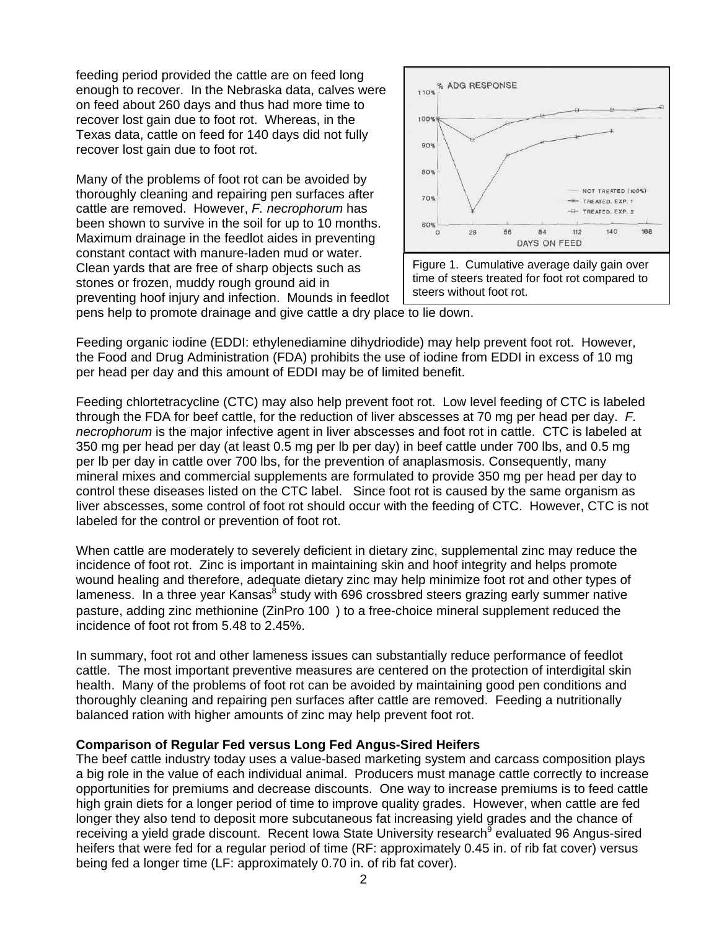feeding period provided the cattle are on feed long enough to recover. In the Nebraska data, calves were on feed about 260 days and thus had more time to recover lost gain due to foot rot. Whereas, in the Texas data, cattle on feed for 140 days did not fully recover lost gain due to foot rot.

Many of the problems of foot rot can be avoided by thoroughly cleaning and repairing pen surfaces after cattle are removed. However, F. necrophorum has been shown to survive in the soil for up to 10 months. Maximum drainage in the feedlot aides in preventing constant contact with manure-laden mud or water. Clean yards that are free of sharp objects such as stones or frozen, muddy rough ground aid in preventing hoof injury and infection. Mounds in feedlot



pens help to promote drainage and give cattle a dry place to lie down.

Feeding organic iodine (EDDI: ethylenediamine dihydriodide) may help prevent foot rot. However, the Food and Drug Administration (FDA) prohibits the use of iodine from EDDI in excess of 10 mg per head per day and this amount of EDDI may be of limited benefit.

Feeding chlortetracycline (CTC) may also help prevent foot rot. Low level feeding of CTC is labeled through the FDA for beef cattle, for the reduction of liver abscesses at 70 mg per head per day.  $F$ . necrophorum is the major infective agent in liver abscesses and foot rot in cattle. CTC is labeled at 350 mg per head per day (at least 0.5 mg per lb per day) in beef cattle under 700 lbs, and 0.5 mg per lb per day in cattle over 700 lbs, for the prevention of anaplasmosis. Consequently, many mineral mixes and commercial supplements are formulated to provide 350 mg per head per day to control these diseases listed on the CTC label. Since foot rot is caused by the same organism as liver abscesses, some control of foot rot should occur with the feeding of CTC. However, CTC is not labeled for the control or prevention of foot rot.

When cattle are moderately to severely deficient in dietary zinc, supplemental zinc may reduce the incidence of foot rot. Zinc is important in maintaining skin and hoof integrity and helps promote wound healing and therefore, adequate dietary zinc may help minimize foot rot and other types of lameness. In a three year Kansas<sup>8</sup> study with 696 crossbred steers grazing early summer native pasture, adding zinc methionine (ZinPro 100<sup>®</sup>) to a free-choice mineral supplement reduced the incidence of foot rot from 5.48 to 2.45%.

In summary, foot rot and other lameness issues can substantially reduce performance of feedlot cattle. The most important preventive measures are centered on the protection of interdigital skin health. Many of the problems of foot rot can be avoided by maintaining good pen conditions and thoroughly cleaning and repairing pen surfaces after cattle are removed. Feeding a nutritionally balanced ration with higher amounts of zinc may help prevent foot rot.

## **Comparison of Regular Fed versus Long Fed Angus-Sired Heifers**

The beef cattle industry today uses a value-based marketing system and carcass composition plays a big role in the value of each individual animal. Producers must manage cattle correctly to increase opportunities for premiums and decrease discounts. One way to increase premiums is to feed cattle high grain diets for a longer period of time to improve quality grades. However, when cattle are fed longer they also tend to deposit more subcutaneous fat increasing yield grades and the chance of receiving a yield grade discount. Recent Iowa State University research<sup>9</sup> evaluated 96 Angus-sired heifers that were fed for a regular period of time (RF: approximately 0.45 in. of rib fat cover) versus being fed a longer time (LF: approximately 0.70 in. of rib fat cover).